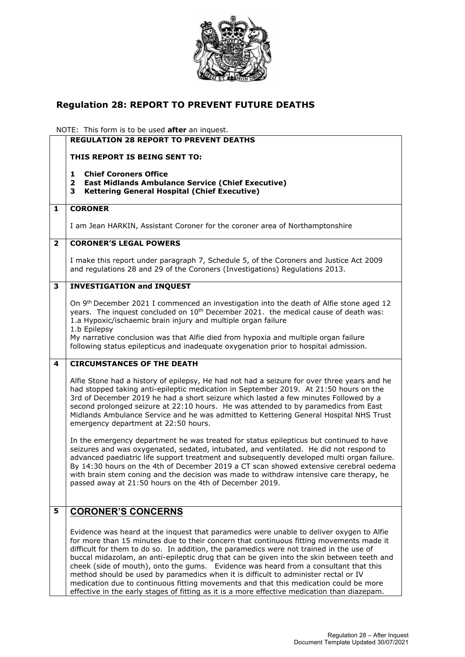

## **Regulation 28: REPORT TO PREVENT FUTURE DEATHS**

NOTE: This form is to be used **after** an inquest.

|                         | <b>REGULATION 28 REPORT TO PREVENT DEATHS</b>                                                                                                                                                                                                                                                                                                                                                                                                                                                                                                                                                                                                                                                                                                        |
|-------------------------|------------------------------------------------------------------------------------------------------------------------------------------------------------------------------------------------------------------------------------------------------------------------------------------------------------------------------------------------------------------------------------------------------------------------------------------------------------------------------------------------------------------------------------------------------------------------------------------------------------------------------------------------------------------------------------------------------------------------------------------------------|
|                         | THIS REPORT IS BEING SENT TO:                                                                                                                                                                                                                                                                                                                                                                                                                                                                                                                                                                                                                                                                                                                        |
|                         | <b>Chief Coroners Office</b><br>1<br>$\mathbf{2}$<br><b>East Midlands Ambulance Service (Chief Executive)</b><br><b>Kettering General Hospital (Chief Executive)</b><br>3                                                                                                                                                                                                                                                                                                                                                                                                                                                                                                                                                                            |
| 1                       | <b>CORONER</b>                                                                                                                                                                                                                                                                                                                                                                                                                                                                                                                                                                                                                                                                                                                                       |
|                         | I am Jean HARKIN, Assistant Coroner for the coroner area of Northamptonshire                                                                                                                                                                                                                                                                                                                                                                                                                                                                                                                                                                                                                                                                         |
| $\overline{\mathbf{2}}$ | <b>CORONER'S LEGAL POWERS</b>                                                                                                                                                                                                                                                                                                                                                                                                                                                                                                                                                                                                                                                                                                                        |
|                         | I make this report under paragraph 7, Schedule 5, of the Coroners and Justice Act 2009<br>and regulations 28 and 29 of the Coroners (Investigations) Regulations 2013.                                                                                                                                                                                                                                                                                                                                                                                                                                                                                                                                                                               |
| 3                       | <b>INVESTIGATION and INQUEST</b>                                                                                                                                                                                                                                                                                                                                                                                                                                                                                                                                                                                                                                                                                                                     |
|                         | On 9th December 2021 I commenced an investigation into the death of Alfie stone aged 12<br>years. The inquest concluded on 10 <sup>th</sup> December 2021. the medical cause of death was:<br>1.a Hypoxic/ischaemic brain injury and multiple organ failure<br>1.b Epilepsy                                                                                                                                                                                                                                                                                                                                                                                                                                                                          |
|                         | My narrative conclusion was that Alfie died from hypoxia and multiple organ failure<br>following status epilepticus and inadequate oxygenation prior to hospital admission.                                                                                                                                                                                                                                                                                                                                                                                                                                                                                                                                                                          |
| 4                       | <b>CIRCUMSTANCES OF THE DEATH</b>                                                                                                                                                                                                                                                                                                                                                                                                                                                                                                                                                                                                                                                                                                                    |
|                         | Alfie Stone had a history of epilepsy, He had not had a seizure for over three years and he<br>had stopped taking anti-epileptic medication in September 2019. At 21:50 hours on the<br>3rd of December 2019 he had a short seizure which lasted a few minutes Followed by a<br>second prolonged seizure at 22:10 hours. He was attended to by paramedics from East<br>Midlands Ambulance Service and he was admitted to Kettering General Hospital NHS Trust<br>emergency department at 22:50 hours.                                                                                                                                                                                                                                                |
|                         | In the emergency department he was treated for status epilepticus but continued to have<br>seizures and was oxygenated, sedated, intubated, and ventilated. He did not respond to<br>advanced paediatric life support treatment and subsequently developed multi organ failure.<br>By 14:30 hours on the 4th of December 2019 a CT scan showed extensive cerebral oedema<br>with brain stem coning and the decision was made to withdraw intensive care therapy, he<br>passed away at 21:50 hours on the 4th of December 2019.                                                                                                                                                                                                                       |
| 5                       | <b>CORONER'S CONCERNS</b>                                                                                                                                                                                                                                                                                                                                                                                                                                                                                                                                                                                                                                                                                                                            |
|                         | Evidence was heard at the inquest that paramedics were unable to deliver oxygen to Alfie<br>for more than 15 minutes due to their concern that continuous fitting movements made it<br>difficult for them to do so. In addition, the paramedics were not trained in the use of<br>buccal midazolam, an anti-epileptic drug that can be given into the skin between teeth and<br>cheek (side of mouth), onto the gums. Evidence was heard from a consultant that this<br>method should be used by paramedics when it is difficult to administer rectal or IV<br>medication due to continuous fitting movements and that this medication could be more<br>effective in the early stages of fitting as it is a more effective medication than diazepam. |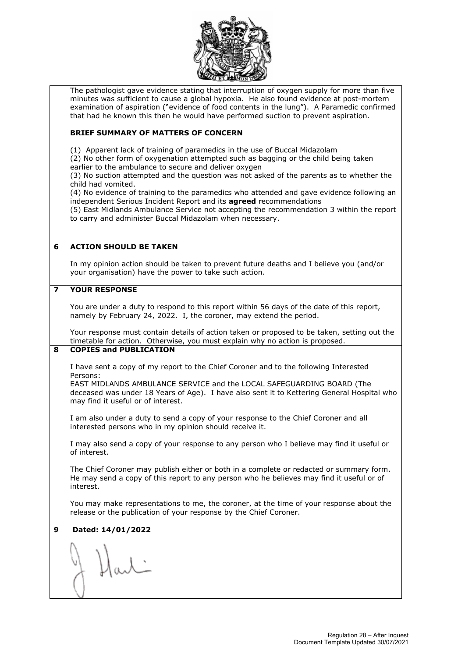|                         | The pathologist gave evidence stating that interruption of oxygen supply for more than five<br>minutes was sufficient to cause a global hypoxia. He also found evidence at post-mortem |
|-------------------------|----------------------------------------------------------------------------------------------------------------------------------------------------------------------------------------|
|                         | examination of aspiration ("evidence of food contents in the lung"). A Paramedic confirmed                                                                                             |
|                         | that had he known this then he would have performed suction to prevent aspiration.                                                                                                     |
|                         | <b>BRIEF SUMMARY OF MATTERS OF CONCERN</b>                                                                                                                                             |
|                         | (1) Apparent lack of training of paramedics in the use of Buccal Midazolam                                                                                                             |
|                         | (2) No other form of oxygenation attempted such as bagging or the child being taken<br>earlier to the ambulance to secure and deliver oxygen                                           |
|                         | (3) No suction attempted and the question was not asked of the parents as to whether the                                                                                               |
|                         | child had vomited.<br>(4) No evidence of training to the paramedics who attended and gave evidence following an                                                                        |
|                         | independent Serious Incident Report and its agreed recommendations                                                                                                                     |
|                         | (5) East Midlands Ambulance Service not accepting the recommendation 3 within the report<br>to carry and administer Buccal Midazolam when necessary.                                   |
|                         |                                                                                                                                                                                        |
| 6                       | <b>ACTION SHOULD BE TAKEN</b>                                                                                                                                                          |
|                         |                                                                                                                                                                                        |
|                         | In my opinion action should be taken to prevent future deaths and I believe you (and/or<br>your organisation) have the power to take such action.                                      |
| $\overline{\mathbf{z}}$ | <b>YOUR RESPONSE</b>                                                                                                                                                                   |
|                         | You are under a duty to respond to this report within 56 days of the date of this report,                                                                                              |
|                         | namely by February 24, 2022. I, the coroner, may extend the period.                                                                                                                    |
|                         | Your response must contain details of action taken or proposed to be taken, setting out the<br>timetable for action. Otherwise, you must explain why no action is proposed.            |
| 8                       | <b>COPIES and PUBLICATION</b>                                                                                                                                                          |
|                         | I have sent a copy of my report to the Chief Coroner and to the following Interested                                                                                                   |
|                         | Persons:                                                                                                                                                                               |
|                         | EAST MIDLANDS AMBULANCE SERVICE and the LOCAL SAFEGUARDING BOARD (The<br>deceased was under 18 Years of Age). I have also sent it to Kettering General Hospital who                    |
|                         | may find it useful or of interest.                                                                                                                                                     |
|                         | I am also under a duty to send a copy of your response to the Chief Coroner and all                                                                                                    |
|                         | interested persons who in my opinion should receive it.                                                                                                                                |
|                         | I may also send a copy of your response to any person who I believe may find it useful or<br>of interest.                                                                              |
|                         | The Chief Coroner may publish either or both in a complete or redacted or summary form.                                                                                                |
|                         | He may send a copy of this report to any person who he believes may find it useful or of                                                                                               |
|                         | interest.                                                                                                                                                                              |
|                         | You may make representations to me, the coroner, at the time of your response about the<br>release or the publication of your response by the Chief Coroner.                           |
| 9                       | Dated: 14/01/2022                                                                                                                                                                      |
|                         |                                                                                                                                                                                        |
|                         |                                                                                                                                                                                        |
|                         |                                                                                                                                                                                        |